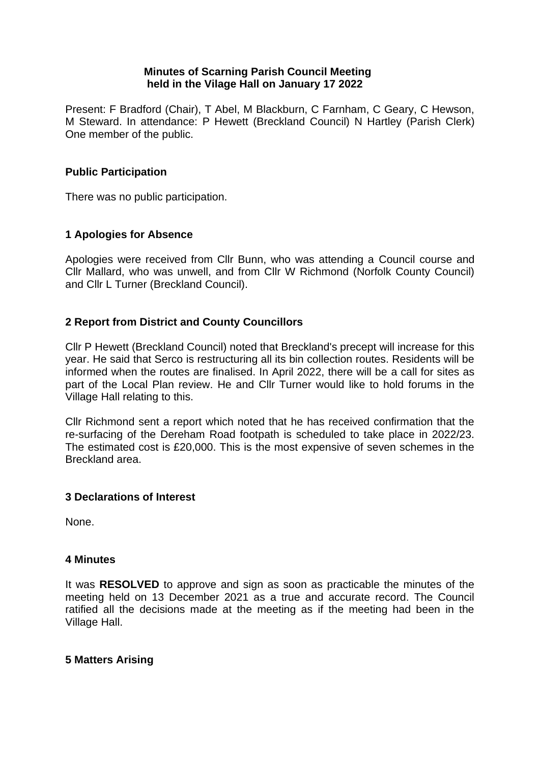### **Minutes of Scarning Parish Council Meeting held in the Vilage Hall on January 17 2022**

Present: F Bradford (Chair), T Abel, M Blackburn, C Farnham, C Geary, C Hewson, M Steward. In attendance: P Hewett (Breckland Council) N Hartley (Parish Clerk) One member of the public.

### **Public Participation**

There was no public participation.

# **1 Apologies for Absence**

Apologies were received from Cllr Bunn, who was attending a Council course and Cllr Mallard, who was unwell, and from Cllr W Richmond (Norfolk County Council) and Cllr L Turner (Breckland Council).

## **2 Report from District and County Councillors**

Cllr P Hewett (Breckland Council) noted that Breckland's precept will increase for this year. He said that Serco is restructuring all its bin collection routes. Residents will be informed when the routes are finalised. In April 2022, there will be a call for sites as part of the Local Plan review. He and Cllr Turner would like to hold forums in the Village Hall relating to this.

Cllr Richmond sent a report which noted that he has received confirmation that the re-surfacing of the Dereham Road footpath is scheduled to take place in 2022/23. The estimated cost is £20,000. This is the most expensive of seven schemes in the Breckland area.

### **3 Declarations of Interest**

None.

### **4 Minutes**

It was **RESOLVED** to approve and sign as soon as practicable the minutes of the meeting held on 13 December 2021 as a true and accurate record. The Council ratified all the decisions made at the meeting as if the meeting had been in the Village Hall.

### **5 Matters Arising**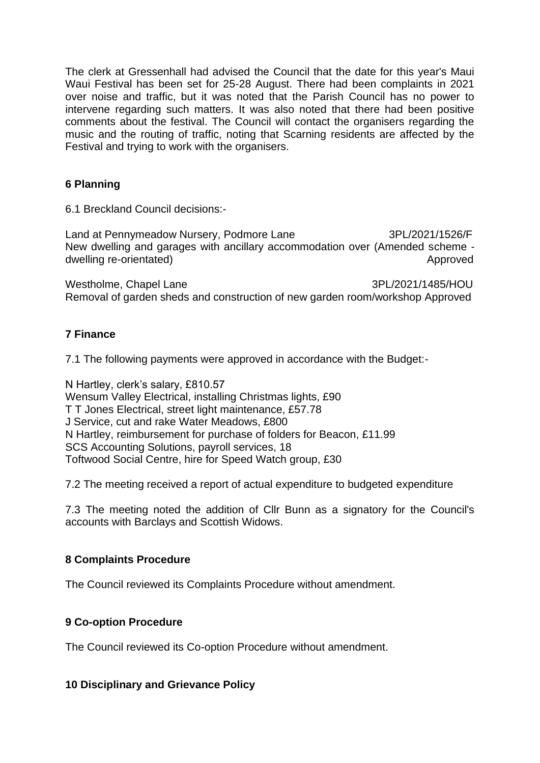The clerk at Gressenhall had advised the Council that the date for this year's Maui Waui Festival has been set for 25-28 August. There had been complaints in 2021 over noise and traffic, but it was noted that the Parish Council has no power to intervene regarding such matters. It was also noted that there had been positive comments about the festival. The Council will contact the organisers regarding the music and the routing of traffic, noting that Scarning residents are affected by the Festival and trying to work with the organisers.

# **6 Planning**

6.1 Breckland Council decisions:-

Land at Pennymeadow Nursery, Podmore Lane 3PL/2021/1526/F New dwelling and garages with ancillary accommodation over (Amended scheme dwelling re-orientated) and the state of the state of the state of the Approved

Westholme, Chapel Lane 3PL/2021/1485/HOU Removal of garden sheds and construction of new garden room/workshop Approved

# **7 Finance**

7.1 The following payments were approved in accordance with the Budget:-

N Hartley, clerk's salary, £810.57 Wensum Valley Electrical, installing Christmas lights, £90 T T Jones Electrical, street light maintenance, £57.78 J Service, cut and rake Water Meadows, £800 N Hartley, reimbursement for purchase of folders for Beacon, £11.99 SCS Accounting Solutions, payroll services, 18 Toftwood Social Centre, hire for Speed Watch group, £30

7.2 The meeting received a report of actual expenditure to budgeted expenditure

7.3 The meeting noted the addition of Cllr Bunn as a signatory for the Council's accounts with Barclays and Scottish Widows.

# **8 Complaints Procedure**

The Council reviewed its Complaints Procedure without amendment.

# **9 Co-option Procedure**

The Council reviewed its Co-option Procedure without amendment.

# **10 Disciplinary and Grievance Policy**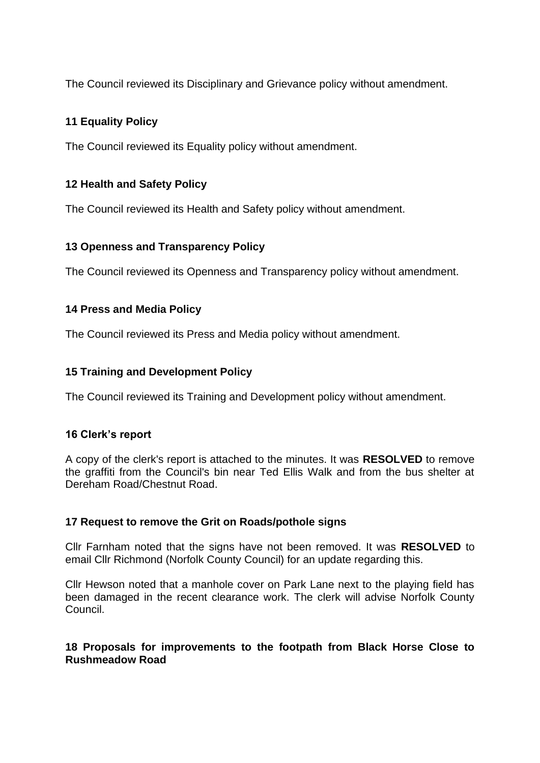The Council reviewed its Disciplinary and Grievance policy without amendment.

# **11 Equality Policy**

The Council reviewed its Equality policy without amendment.

# **12 Health and Safety Policy**

The Council reviewed its Health and Safety policy without amendment.

# **13 Openness and Transparency Policy**

The Council reviewed its Openness and Transparency policy without amendment.

## **14 Press and Media Policy**

The Council reviewed its Press and Media policy without amendment.

## **15 Training and Development Policy**

The Council reviewed its Training and Development policy without amendment.

### **16 Clerk's report**

A copy of the clerk's report is attached to the minutes. It was **RESOLVED** to remove the graffiti from the Council's bin near Ted Ellis Walk and from the bus shelter at Dereham Road/Chestnut Road.

### **17 Request to remove the Grit on Roads/pothole signs**

Cllr Farnham noted that the signs have not been removed. It was **RESOLVED** to email Cllr Richmond (Norfolk County Council) for an update regarding this.

Cllr Hewson noted that a manhole cover on Park Lane next to the playing field has been damaged in the recent clearance work. The clerk will advise Norfolk County Council.

### **18 Proposals for improvements to the footpath from Black Horse Close to Rushmeadow Road**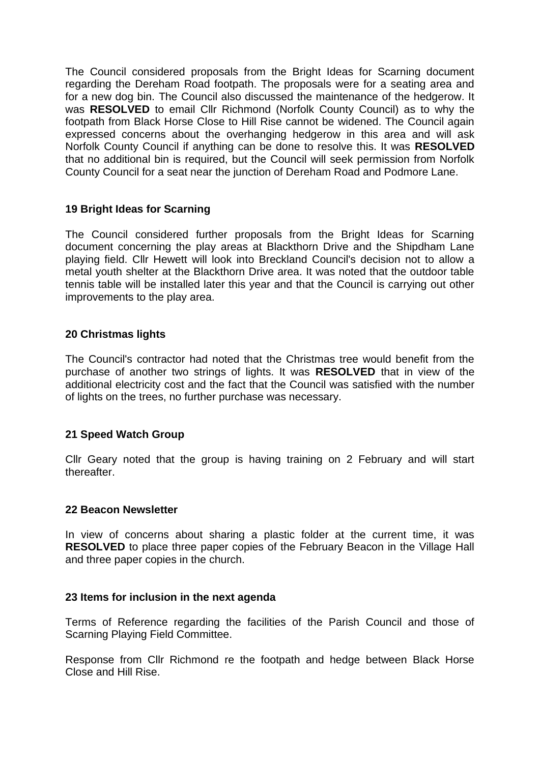The Council considered proposals from the Bright Ideas for Scarning document regarding the Dereham Road footpath. The proposals were for a seating area and for a new dog bin. The Council also discussed the maintenance of the hedgerow. It was **RESOLVED** to email Cllr Richmond (Norfolk County Council) as to why the footpath from Black Horse Close to Hill Rise cannot be widened. The Council again expressed concerns about the overhanging hedgerow in this area and will ask Norfolk County Council if anything can be done to resolve this. It was **RESOLVED** that no additional bin is required, but the Council will seek permission from Norfolk County Council for a seat near the junction of Dereham Road and Podmore Lane.

## **19 Bright Ideas for Scarning**

The Council considered further proposals from the Bright Ideas for Scarning document concerning the play areas at Blackthorn Drive and the Shipdham Lane playing field. Cllr Hewett will look into Breckland Council's decision not to allow a metal youth shelter at the Blackthorn Drive area. It was noted that the outdoor table tennis table will be installed later this year and that the Council is carrying out other improvements to the play area.

## **20 Christmas lights**

The Council's contractor had noted that the Christmas tree would benefit from the purchase of another two strings of lights. It was **RESOLVED** that in view of the additional electricity cost and the fact that the Council was satisfied with the number of lights on the trees, no further purchase was necessary.

### **21 Speed Watch Group**

Cllr Geary noted that the group is having training on 2 February and will start thereafter.

### **22 Beacon Newsletter**

In view of concerns about sharing a plastic folder at the current time, it was **RESOLVED** to place three paper copies of the February Beacon in the Village Hall and three paper copies in the church.

### **23 Items for inclusion in the next agenda**

Terms of Reference regarding the facilities of the Parish Council and those of Scarning Playing Field Committee.

Response from Cllr Richmond re the footpath and hedge between Black Horse Close and Hill Rise.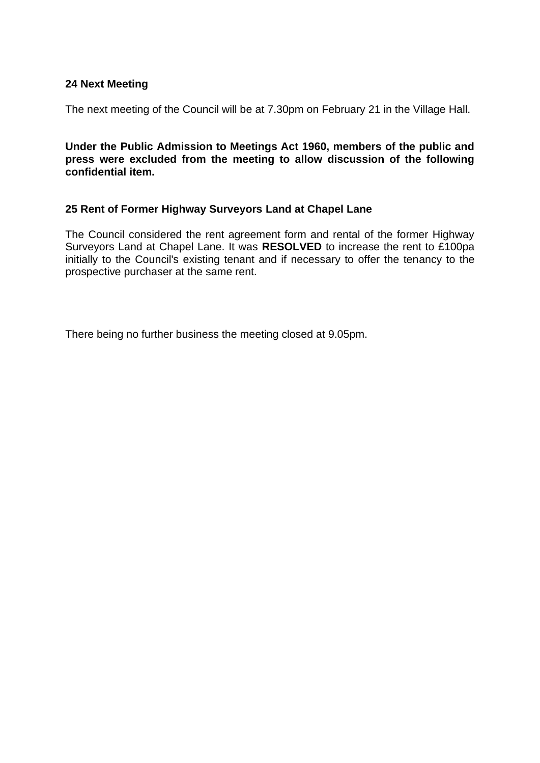### **24 Next Meeting**

The next meeting of the Council will be at 7.30pm on February 21 in the Village Hall.

**Under the Public Admission to Meetings Act 1960, members of the public and press were excluded from the meeting to allow discussion of the following confidential item.**

#### **25 Rent of Former Highway Surveyors Land at Chapel Lane**

The Council considered the rent agreement form and rental of the former Highway Surveyors Land at Chapel Lane. It was **RESOLVED** to increase the rent to £100pa initially to the Council's existing tenant and if necessary to offer the tenancy to the prospective purchaser at the same rent.

There being no further business the meeting closed at 9.05pm.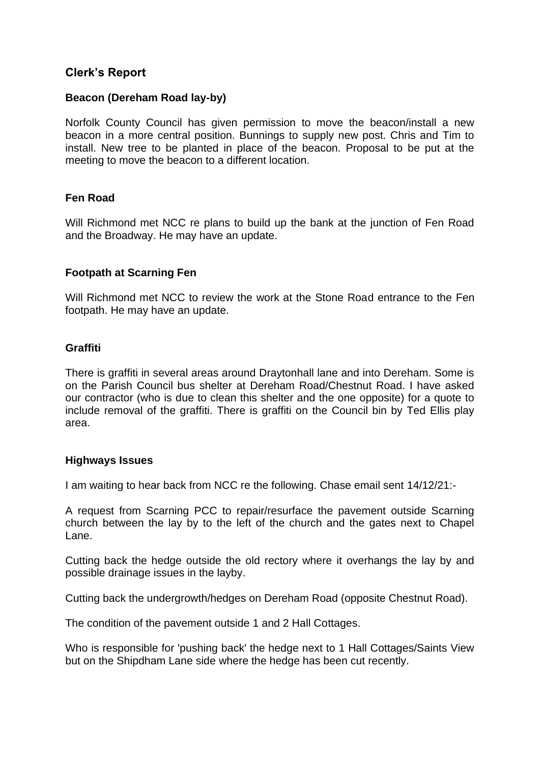# **Clerk's Report**

### **Beacon (Dereham Road lay-by)**

Norfolk County Council has given permission to move the beacon/install a new beacon in a more central position. Bunnings to supply new post. Chris and Tim to install. New tree to be planted in place of the beacon. Proposal to be put at the meeting to move the beacon to a different location.

## **Fen Road**

Will Richmond met NCC re plans to build up the bank at the junction of Fen Road and the Broadway. He may have an update.

### **Footpath at Scarning Fen**

Will Richmond met NCC to review the work at the Stone Road entrance to the Fen footpath. He may have an update.

### **Graffiti**

There is graffiti in several areas around Draytonhall lane and into Dereham. Some is on the Parish Council bus shelter at Dereham Road/Chestnut Road. I have asked our contractor (who is due to clean this shelter and the one opposite) for a quote to include removal of the graffiti. There is graffiti on the Council bin by Ted Ellis play area.

### **Highways Issues**

I am waiting to hear back from NCC re the following. Chase email sent 14/12/21:-

A request from Scarning PCC to repair/resurface the pavement outside Scarning church between the lay by to the left of the church and the gates next to Chapel Lane.

Cutting back the hedge outside the old rectory where it overhangs the lay by and possible drainage issues in the layby.

Cutting back the undergrowth/hedges on Dereham Road (opposite Chestnut Road).

The condition of the pavement outside 1 and 2 Hall Cottages.

Who is responsible for 'pushing back' the hedge next to 1 Hall Cottages/Saints View but on the Shipdham Lane side where the hedge has been cut recently.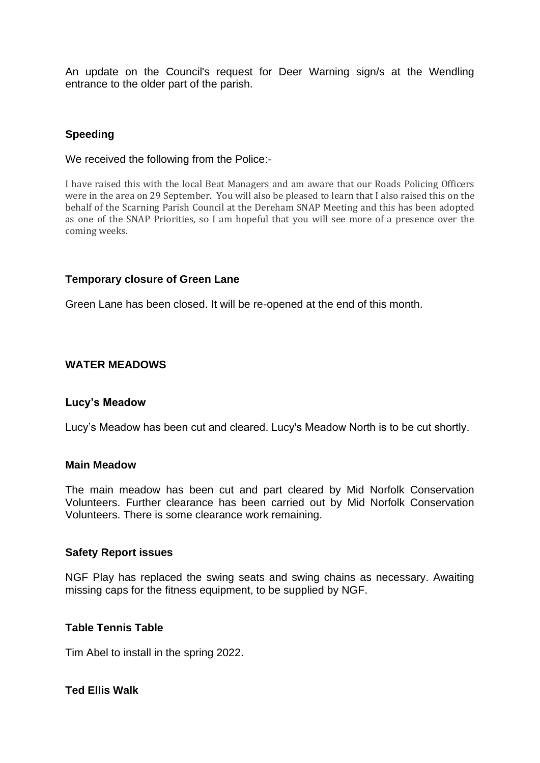An update on the Council's request for Deer Warning sign/s at the Wendling entrance to the older part of the parish.

# **Speeding**

We received the following from the Police:-

I have raised this with the local Beat Managers and am aware that our Roads Policing Officers were in the area on 29 September. You will also be pleased to learn that I also raised this on the behalf of the Scarning Parish Council at the Dereham SNAP Meeting and this has been adopted as one of the SNAP Priorities, so I am hopeful that you will see more of a presence over the coming weeks.

### **Temporary closure of Green Lane**

Green Lane has been closed. It will be re-opened at the end of this month.

#### **WATER MEADOWS**

#### **Lucy's Meadow**

Lucy's Meadow has been cut and cleared. Lucy's Meadow North is to be cut shortly.

#### **Main Meadow**

The main meadow has been cut and part cleared by Mid Norfolk Conservation Volunteers. Further clearance has been carried out by Mid Norfolk Conservation Volunteers. There is some clearance work remaining.

#### **Safety Report issues**

NGF Play has replaced the swing seats and swing chains as necessary. Awaiting missing caps for the fitness equipment, to be supplied by NGF.

#### **Table Tennis Table**

Tim Abel to install in the spring 2022.

#### **Ted Ellis Walk**